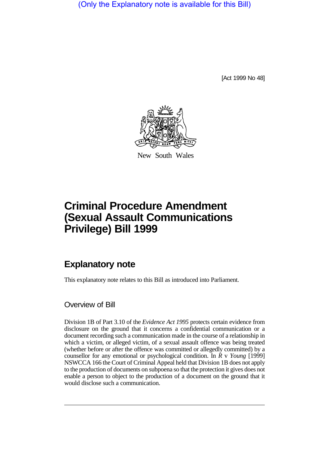(Only the Explanatory note is available for this Bill)

[Act 1999 No 48]



New South Wales

# **Criminal Procedure Amendment (Sexual Assault Communications Privilege) Bill 1999**

# **Explanatory note**

This explanatory note relates to this Bill as introduced into Parliament.

# Overview of Bill

Division 1B of Part 3.10 of the *Evidence Act 1995* protects certain evidence from disclosure on the ground that it concerns a confidential communication or a document recording such a communication made in the course of a relationship in which a victim, or alleged victim, of a sexual assault offence was being treated (whether before or after the offence was committed or allegedly committed) by a counsellor for any emotional or psychological condition. In *R* v *Young* [1999] NSWCCA 166 the Court of Criminal Appeal held that Division 1B does not apply to the production of documents on subpoena so that the protection it gives does not enable a person to object to the production of a document on the ground that it would disclose such a communication.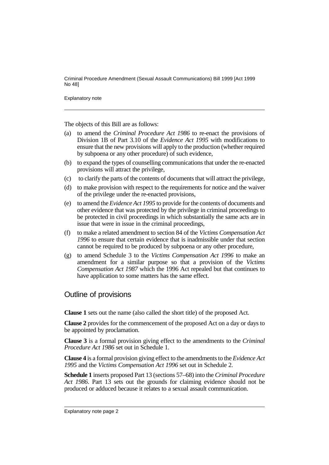Explanatory note

The objects of this Bill are as follows:

- (a) to amend the *Criminal Procedure Act 1986* to re-enact the provisions of Division 1B of Part 3.10 of the *Evidence Act 1995* with modifications to ensure that the new provisions will apply to the production (whether required by subpoena or any other procedure) of such evidence,
- (b) to expand the types of counselling communications that under the re-enacted provisions will attract the privilege,
- (c) to clarify the parts of the contents of documents that will attract the privilege,
- (d) to make provision with respect to the requirements for notice and the waiver of the privilege under the re-enacted provisions,
- (e) to amend the *Evidence Act 1995* to provide for the contents of documents and other evidence that was protected by the privilege in criminal proceedings to be protected in civil proceedings in which substantially the same acts are in issue that were in issue in the criminal proceedings,
- (f) to make a related amendment to section 84 of the *Victims Compensation Act 1996* to ensure that certain evidence that is inadmissible under that section cannot be required to be produced by subpoena or any other procedure,
- (g) to amend Schedule 3 to the *Victims Compensation Act 1996* to make an amendment for a similar purpose so that a provision of the *Victims Compensation Act 1987* which the 1996 Act repealed but that continues to have application to some matters has the same effect.

# Outline of provisions

**Clause 1** sets out the name (also called the short title) of the proposed Act.

**Clause 2** provides for the commencement of the proposed Act on a day or days to be appointed by proclamation.

**Clause 3** is a formal provision giving effect to the amendments to the *Criminal Procedure Act 1986* set out in Schedule 1.

**Clause 4** is a formal provision giving effect to the amendments to the *Evidence Act 1995* and the *Victims Compensation Act 1996* set out in Schedule 2.

**Schedule 1** inserts proposed Part 13 (sections 57–68) into the *Criminal Procedure Act 1986*. Part 13 sets out the grounds for claiming evidence should not be produced or adduced because it relates to a sexual assault communication.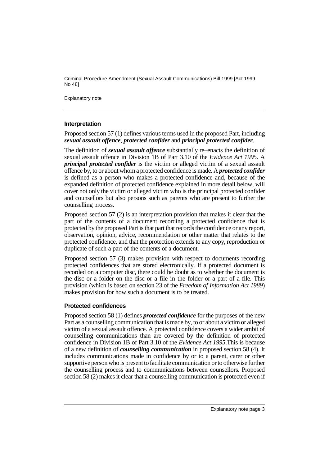Explanatory note

#### **Interpretation**

Proposed section 57 (1) defines various terms used in the proposed Part, including *sexual assault offence*, *protected confider* and *principal protected confider*.

The definition of *sexual assault offence* substantially re–enacts the definition of sexual assault offence in Division 1B of Part 3.10 of the *Evidence Act 1995*. A *principal protected confider* is the victim or alleged victim of a sexual assault offence by, to or about whom a protected confidence is made. A *protected confider* is defined as a person who makes a protected confidence and, because of the expanded definition of protected confidence explained in more detail below, will cover not only the victim or alleged victim who is the principal protected confider and counsellors but also persons such as parents who are present to further the counselling process.

Proposed section 57 (2) is an interpretation provision that makes it clear that the part of the contents of a document recording a protected confidence that is protected by the proposed Part is that part that records the confidence or any report, observation, opinion, advice, recommendation or other matter that relates to the protected confidence, and that the protection extends to any copy, reproduction or duplicate of such a part of the contents of a document.

Proposed section 57 (3) makes provision with respect to documents recording protected confidences that are stored electronically. If a protected document is recorded on a computer disc, there could be doubt as to whether the document is the disc or a folder on the disc or a file in the folder or a part of a file. This provision (which is based on section 23 of the *Freedom of Information Act 1989*) makes provision for how such a document is to be treated.

#### **Protected confidences**

Proposed section 58 (1) defines *protected confidence* for the purposes of the new Part as a counselling communication that is made by, to or about a victim or alleged victim of a sexual assault offence. A protected confidence covers a wider ambit of counselling communications than are covered by the definition of protected confidence in Division 1B of Part 3.10 of the *Evidence Act 1995*.This is because of a new definition of *counselling communication* in proposed section 58 (4). It includes communications made in confidence by or to a parent, carer or other supportive person who is present to facilitate communication or to otherwise further the counselling process and to communications between counsellors. Proposed section 58 (2) makes it clear that a counselling communication is protected even if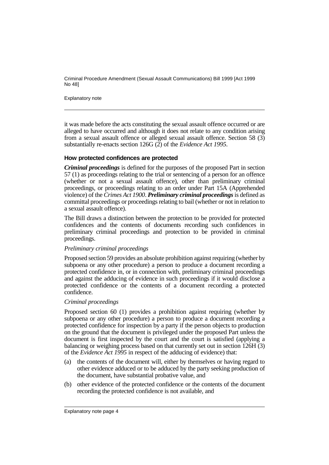Explanatory note

it was made before the acts constituting the sexual assault offence occurred or are alleged to have occurred and although it does not relate to any condition arising from a sexual assault offence or alleged sexual assault offence. Section 58 (3) substantially re-enacts section 126G (2) of the *Evidence Act 1995*.

### **How protected confidences are protected**

*Criminal proceedings* is defined for the purposes of the proposed Part in section 57 (1) as proceedings relating to the trial or sentencing of a person for an offence (whether or not a sexual assault offence), other than preliminary criminal proceedings, or proceedings relating to an order under Part 15A (Apprehended violence) of the *Crimes Act 1900*. *Preliminary criminal proceedings* is defined as committal proceedings or proceedings relating to bail (whether or not in relation to a sexual assault offence).

The Bill draws a distinction between the protection to be provided for protected confidences and the contents of documents recording such confidences in preliminary criminal proceedings and protection to be provided in criminal proceedings.

#### *Preliminary criminal proceedings*

Proposed section 59 provides an absolute prohibition against requiring (whether by subpoena or any other procedure) a person to produce a document recording a protected confidence in, or in connection with, preliminary criminal proceedings and against the adducing of evidence in such proceedings if it would disclose a protected confidence or the contents of a document recording a protected confidence.

#### *Criminal proceedings*

Proposed section 60 (1) provides a prohibition against requiring (whether by subpoena or any other procedure) a person to produce a document recording a protected confidence for inspection by a party if the person objects to production on the ground that the document is privileged under the proposed Part unless the document is first inspected by the court and the court is satisfied (applying a balancing or weighing process based on that currently set out in section 126H (3) of the *Evidence Act 1995* in respect of the adducing of evidence) that:

- (a) the contents of the document will, either by themselves or having regard to other evidence adduced or to be adduced by the party seeking production of the document, have substantial probative value, and
- (b) other evidence of the protected confidence or the contents of the document recording the protected confidence is not available, and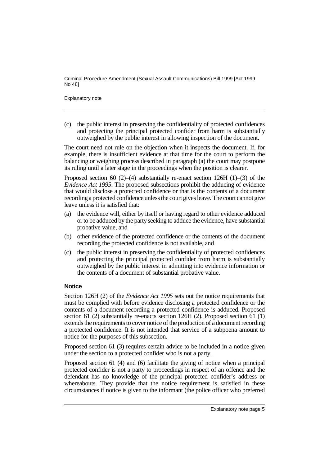#### Explanatory note

(c) the public interest in preserving the confidentiality of protected confidences and protecting the principal protected confider from harm is substantially outweighed by the public interest in allowing inspection of the document.

The court need not rule on the objection when it inspects the document. If, for example, there is insufficient evidence at that time for the court to perform the balancing or weighing process described in paragraph (a) the court may postpone its ruling until a later stage in the proceedings when the position is clearer.

Proposed section 60 (2)–(4) substantially re-enact section 126H (1)–(3) of the *Evidence Act 1995*. The proposed subsections prohibit the adducing of evidence that would disclose a protected confidence or that is the contents of a document recording a protected confidence unless the court gives leave. The court cannot give leave unless it is satisfied that:

- (a) the evidence will, either by itself or having regard to other evidence adduced or to be adduced by the party seeking to adduce the evidence, have substantial probative value, and
- (b) other evidence of the protected confidence or the contents of the document recording the protected confidence is not available, and
- (c) the public interest in preserving the confidentiality of protected confidences and protecting the principal protected confider from harm is substantially outweighed by the public interest in admitting into evidence information or the contents of a document of substantial probative value.

## **Notice**

Section 126H (2) of the *Evidence Act 1995* sets out the notice requirements that must be complied with before evidence disclosing a protected confidence or the contents of a document recording a protected confidence is adduced. Proposed section 61 (2) substantially re-enacts section 126H (2). Proposed section 61 (1) extends the requirements to cover notice of the production of a document recording a protected confidence. It is not intended that service of a subpoena amount to notice for the purposes of this subsection.

Proposed section 61 (3) requires certain advice to be included in a notice given under the section to a protected confider who is not a party.

Proposed section 61 (4) and (6) facilitate the giving of notice when a principal protected confider is not a party to proceedings in respect of an offence and the defendant has no knowledge of the principal protected confider's address or whereabouts. They provide that the notice requirement is satisfied in these circumstances if notice is given to the informant (the police officer who preferred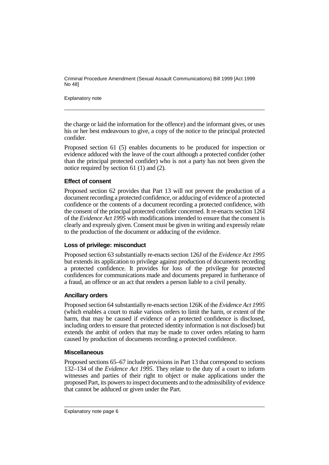Explanatory note

the charge or laid the information for the offence) and the informant gives, or uses his or her best endeavours to give, a copy of the notice to the principal protected confider.

Proposed section 61 (5) enables documents to be produced for inspection or evidence adduced with the leave of the court although a protected confider (other than the principal protected confider) who is not a party has not been given the notice required by section 61 (1) and (2).

# **Effect of consent**

Proposed section 62 provides that Part 13 will not prevent the production of a document recording a protected confidence, or adducing of evidence of a protected confidence or the contents of a document recording a protected confidence, with the consent of the principal protected confider concerned. It re-enacts section 126I of the *Evidence Act 1995* with modifications intended to ensure that the consent is clearly and expressly given. Consent must be given in writing and expressly relate to the production of the document or adducing of the evidence.

## **Loss of privilege: misconduct**

Proposed section 63 substantially re-enacts section 126J of the *Evidence Act 1995* but extends its application to privilege against production of documents recording a protected confidence. It provides for loss of the privilege for protected confidences for communications made and documents prepared in furtherance of a fraud, an offence or an act that renders a person liable to a civil penalty.

## **Ancillary orders**

Proposed section 64 substantially re-enacts section 126K of the *Evidence Act 1995* (which enables a court to make various orders to limit the harm, or extent of the harm, that may be caused if evidence of a protected confidence is disclosed, including orders to ensure that protected identity information is not disclosed) but extends the ambit of orders that may be made to cover orders relating to harm caused by production of documents recording a protected confidence.

#### **Miscellaneous**

Proposed sections 65–67 include provisions in Part 13 that correspond to sections 132–134 of the *Evidence Act 1995*. They relate to the duty of a court to inform witnesses and parties of their right to object or make applications under the proposed Part, its powers to inspect documents and to the admissibility of evidence that cannot be adduced or given under the Part.